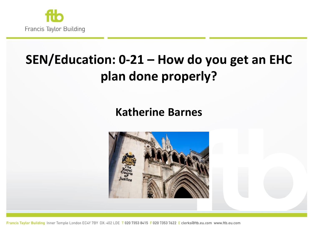

# **SEN/Education: 0-21 – How do you get an EHC plan done properly?**

#### **Katherine Barnes**

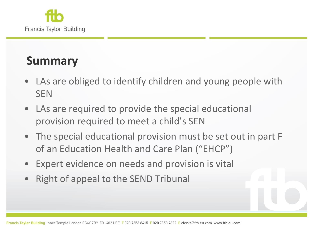

### **Summary**

- LAs are obliged to identify children and young people with **SEN**
- LAs are required to provide the special educational provision required to meet a child's SEN
- The special educational provision must be set out in part F of an Education Health and Care Plan ("EHCP")
- Expert evidence on needs and provision is vital
- Right of appeal to the SEND Tribunal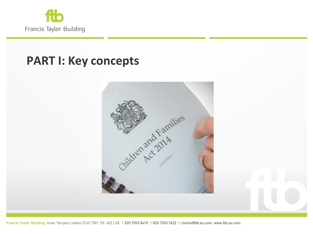

#### **PART I: Key concepts**

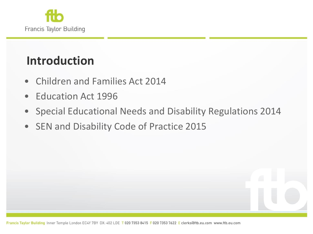

## **Introduction**

- Children and Families Act 2014
- Education Act 1996
- Special Educational Needs and Disability Regulations 2014
- SEN and Disability Code of Practice 2015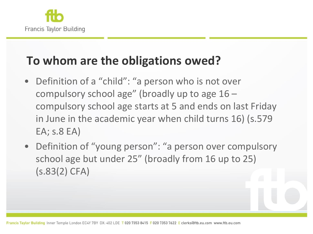

## **To whom are the obligations owed?**

- Definition of a "child": "a person who is not over compulsory school age" (broadly up to age 16 – compulsory school age starts at 5 and ends on last Friday in June in the academic year when child turns 16) (s.579 EA; s.8 EA)
- Definition of "young person": "a person over compulsory school age but under 25" (broadly from 16 up to 25) (s.83(2) CFA)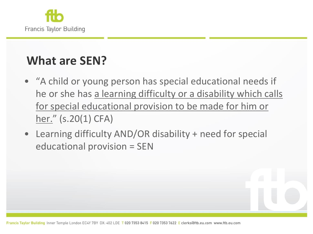

# **What are SEN?**

- "A child or young person has special educational needs if he or she has a learning difficulty or a disability which calls for special educational provision to be made for him or her." (s.20(1) CFA)
- Learning difficulty AND/OR disability + need for special educational provision = SEN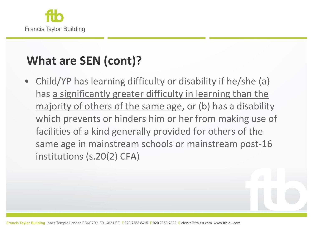

# **What are SEN (cont)?**

• Child/YP has learning difficulty or disability if he/she (a) has a significantly greater difficulty in learning than the majority of others of the same age, or (b) has a disability which prevents or hinders him or her from making use of facilities of a kind generally provided for others of the same age in mainstream schools or mainstream post-16 institutions (s.20(2) CFA)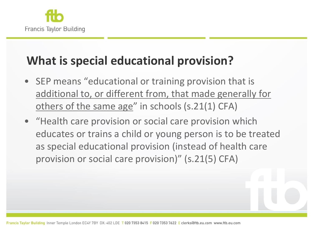

## **What is special educational provision?**

- SEP means "educational or training provision that is additional to, or different from, that made generally for others of the same age" in schools (s.21(1) CFA)
- "Health care provision or social care provision which educates or trains a child or young person is to be treated as special educational provision (instead of health care provision or social care provision)" (s.21(5) CFA)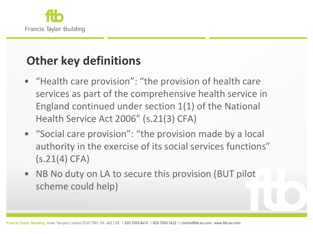

# **Other key definitions**

- "Health care provision": "the provision of health care services as part of the comprehensive health service in England continued under section 1(1) of the National Health Service Act 2006" (s.21(3) CFA)
- "Social care provision": "the provision made by a local authority in the exercise of its social services functions" (s.21(4) CFA)
- NB No duty on LA to secure this provision (BUT pilot scheme could help)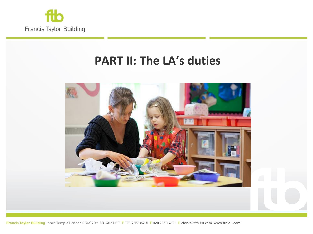

#### **PART II: The LA's duties**

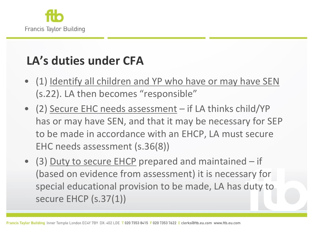

# **LA's duties under CFA**

- (1) Identify all children and YP who have or may have SEN (s.22). LA then becomes "responsible"
- (2) Secure EHC needs assessment if LA thinks child/YP has or may have SEN, and that it may be necessary for SEP to be made in accordance with an EHCP, LA must secure EHC needs assessment (s.36(8))
- (3) Duty to secure EHCP prepared and maintained if (based on evidence from assessment) it is necessary for special educational provision to be made, LA has duty to secure EHCP (s.37(1))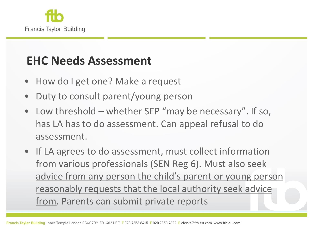

## **EHC Needs Assessment**

- How do I get one? Make a request
- Duty to consult parent/young person
- Low threshold whether SEP "may be necessary". If so, has LA has to do assessment. Can appeal refusal to do assessment.
- If LA agrees to do assessment, must collect information from various professionals (SEN Reg 6). Must also seek advice from any person the child's parent or young person reasonably requests that the local authority seek advice from. Parents can submit private reports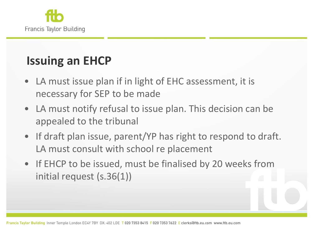

# **Issuing an EHCP**

- LA must issue plan if in light of EHC assessment, it is necessary for SEP to be made
- LA must notify refusal to issue plan. This decision can be appealed to the tribunal
- If draft plan issue, parent/YP has right to respond to draft. LA must consult with school re placement
- If EHCP to be issued, must be finalised by 20 weeks from initial request (s.36(1))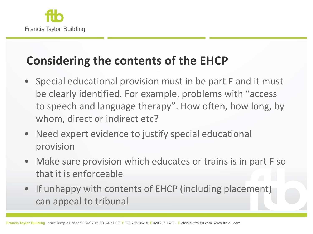

## **Considering the contents of the EHCP**

- Special educational provision must in be part F and it must be clearly identified. For example, problems with "access to speech and language therapy". How often, how long, by whom, direct or indirect etc?
- Need expert evidence to justify special educational provision
- Make sure provision which educates or trains is in part F so that it is enforceable
- If unhappy with contents of EHCP (including placement) can appeal to tribunal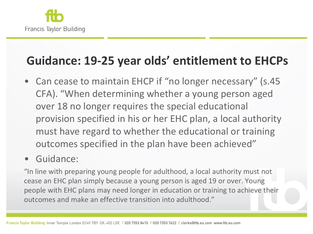

## **Guidance: 19-25 year olds' entitlement to EHCPs**

• Can cease to maintain EHCP if "no longer necessary" (s.45 CFA). "When determining whether a young person aged over 18 no longer requires the special educational provision specified in his or her EHC plan, a local authority must have regard to whether the educational or training outcomes specified in the plan have been achieved"

#### • Guidance:

"In line with preparing young people for adulthood, a local authority must not cease an EHC plan simply because a young person is aged 19 or over. Young people with EHC plans may need longer in education or training to achieve their outcomes and make an effective transition into adulthood."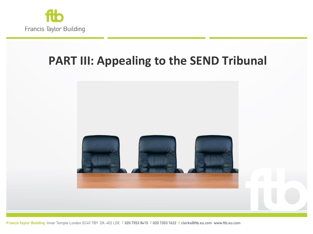

## **PART III: Appealing to the SEND Tribunal**

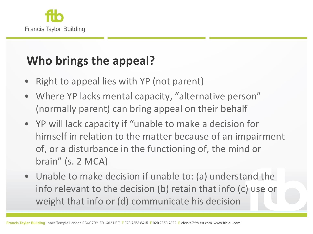

# **Who brings the appeal?**

- Right to appeal lies with YP (not parent)
- Where YP lacks mental capacity, "alternative person" (normally parent) can bring appeal on their behalf
- YP will lack capacity if "unable to make a decision for himself in relation to the matter because of an impairment of, or a disturbance in the functioning of, the mind or brain" (s. 2 MCA)
- Unable to make decision if unable to: (a) understand the info relevant to the decision (b) retain that info (c) use or weight that info or (d) communicate his decision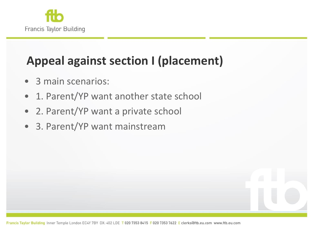

# **Appeal against section I (placement)**

- 3 main scenarios:
- 1. Parent/YP want another state school
- 2. Parent/YP want a private school
- 3. Parent/YP want mainstream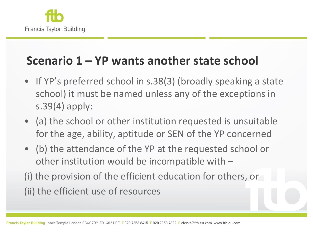

#### **Scenario 1 – YP wants another state school**

- If YP's preferred school in s.38(3) (broadly speaking a state school) it must be named unless any of the exceptions in s.39(4) apply:
- (a) the school or other institution requested is unsuitable for the age, ability, aptitude or SEN of the YP concerned
- (b) the attendance of the YP at the requested school or other institution would be incompatible with –

(i) the provision of the efficient education for others, or (ii) the efficient use of resources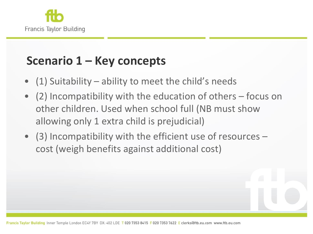

## **Scenario 1 – Key concepts**

- (1) Suitability ability to meet the child's needs
- (2) Incompatibility with the education of others focus on other children. Used when school full (NB must show allowing only 1 extra child is prejudicial)
- (3) Incompatibility with the efficient use of resources cost (weigh benefits against additional cost)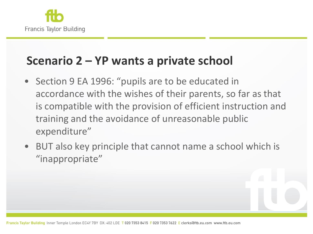

#### **Scenario 2 – YP wants a private school**

- Section 9 EA 1996: "pupils are to be educated in accordance with the wishes of their parents, so far as that is compatible with the provision of efficient instruction and training and the avoidance of unreasonable public expenditure"
- BUT also key principle that cannot name a school which is "inappropriate"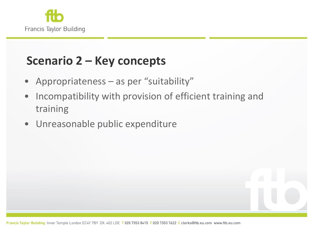

## **Scenario 2 – Key concepts**

- Appropriateness as per "suitability"
- Incompatibility with provision of efficient training and training
- Unreasonable public expenditure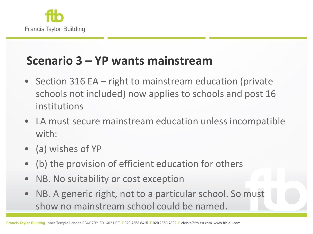

#### **Scenario 3 – YP wants mainstream**

- Section 316 EA right to mainstream education (private schools not included) now applies to schools and post 16 institutions
- LA must secure mainstream education unless incompatible with:
- (a) wishes of YP
- (b) the provision of efficient education for others
- NB. No suitability or cost exception
- NB. A generic right, not to a particular school. So must show no mainstream school could be named.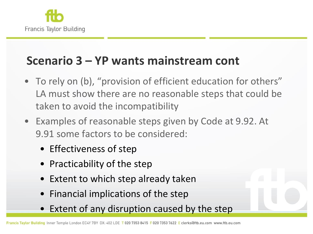

#### **Scenario 3 – YP wants mainstream cont**

- To rely on (b), "provision of efficient education for others" LA must show there are no reasonable steps that could be taken to avoid the incompatibility
- Examples of reasonable steps given by Code at 9.92. At 9.91 some factors to be considered:
	- Effectiveness of step
	- Practicability of the step
	- Extent to which step already taken
	- Financial implications of the step
	- Extent of any disruption caused by the step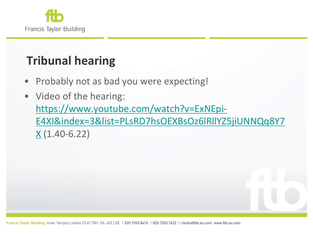

# **Tribunal hearing**

- Probably not as bad you were expecting!
- Video of the hearing: [https://www.youtube.com/watch?v=ExNEpi-](https://www.youtube.com/watch?v=ExNEpi-E4XI&index=3&list=PLsRD7hsOEXBsOz6lRllYZ5jiUNNQq8Y7X)[E4XI&index=3&list=PLsRD7hsOEXBsOz6lRllYZ5jiUNNQq8Y7](https://www.youtube.com/watch?v=ExNEpi-E4XI&index=3&list=PLsRD7hsOEXBsOz6lRllYZ5jiUNNQq8Y7X)  $X(1.40-6.22)$  $X(1.40-6.22)$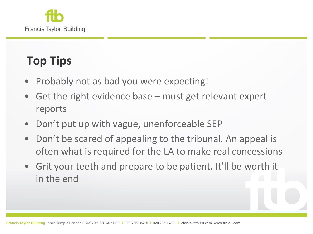

# **Top Tips**

- Probably not as bad you were expecting!
- Get the right evidence base  $-$  must get relevant expert reports
- Don't put up with vague, unenforceable SEP
- Don't be scared of appealing to the tribunal. An appeal is often what is required for the LA to make real concessions
- Grit your teeth and prepare to be patient. It'll be worth it in the end